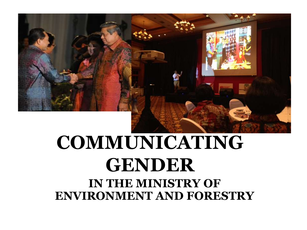

# **COMMUNICATING GENDER IN THE MINISTRY OF ENVIRONMENT AND FORESTRY**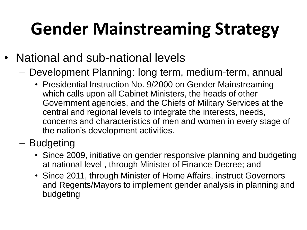# **Gender Mainstreaming Strategy**

- National and sub-national levels
	- Development Planning: long term, medium-term, annual
		- Presidential Instruction No. 9/2000 on Gender Mainstreaming which calls upon all Cabinet Ministers, the heads of other Government agencies, and the Chiefs of Military Services at the central and regional levels to integrate the interests, needs, concerns and characteristics of men and women in every stage of the nation's development activities.
	- Budgeting
		- Since 2009, initiative on gender responsive planning and budgeting at national level , through Minister of Finance Decree; and
		- Since 2011, through Minister of Home Affairs, instruct Governors and Regents/Mayors to implement gender analysis in planning and budgeting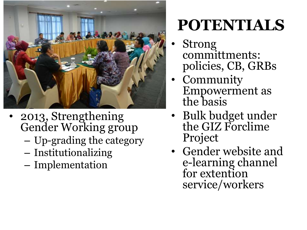

- 2013, Strengthening Gender Working group
	- Up-grading the category
	- Institutionalizing
	- Implementation

# **POTENTIALS**

- **Strong** committments: policies, CB, GRBs
- **Community** Empowerment as the basis
- Bulk budget under the GIZ Forclime Project
- Gender website and e-learning channel for extention service/workers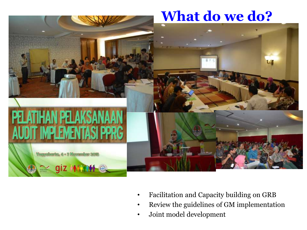## **What do we do?**



- Facilitation and Capacity building on GRB
- Review the guidelines of GM implementation
- Joint model development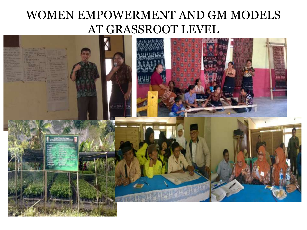#### WOMEN EMPOWERMENT AND GM MODELS AT GRASSROOT LEVEL

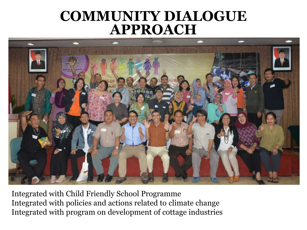### **COMMUNITY DIALOGUE APPROACH**



Integrated with Child Friendly School Programme Integrated with policies and actions related to climate change Integrated with program on development of cottage industries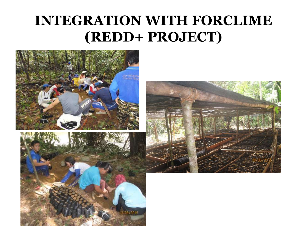# **INTEGRATION WITH FORCLIME (REDD+ PROJECT)**





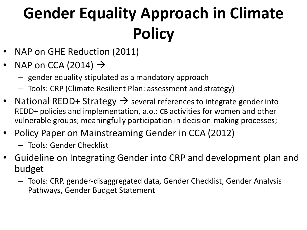# **Gender Equality Approach in Climate Policy**

- NAP on GHE Reduction (2011)
- NAP on CCA (2014)  $\rightarrow$ 
	- gender equality stipulated as a mandatory approach
	- Tools: CRP (Climate Resilient Plan: assessment and strategy)
- National REDD+ Strategy  $\rightarrow$  several references to integrate gender into REDD+ policies and implementation, a.o.: CB activities for women and other vulnerable groups; meaningfully participation in decision-making processes;
- Policy Paper on Mainstreaming Gender in CCA (2012)
	- Tools: Gender Checklist
- Guideline on Integrating Gender into CRP and development plan and budget
	- Tools: CRP, gender-disaggregated data, Gender Checklist, Gender Analysis Pathways, Gender Budget Statement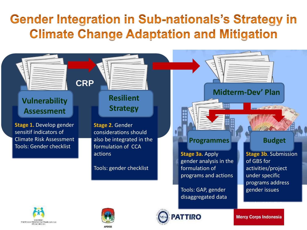## **Gender Integration in Sub-nationals's Strategy in Climate Change Adaptation and Mitigation**

#### **Vulnerability Assessment**

**Stage 1.** Develop gender sensitif indicators of Climate Risk Assessment Tools: Gender checklist

# **Resilient**

**CRP**

**Strategy**

**Stage 2.** Gender considerations should also be integrated in the formulation of CCA actions

Tools: gender checklist

#### **Programmes Budget**

**Stage 3a.** Apply gender analysis in the formulation of programs and actions

Tools: GAP, gender disaggregated data

**Stage 3b**. Submission of GBS for activities/project under specific programs address gender issues







**Mercy Corps Indonesia** 

**Midterm-Dev' Plan**

Tools: GBS, ToR